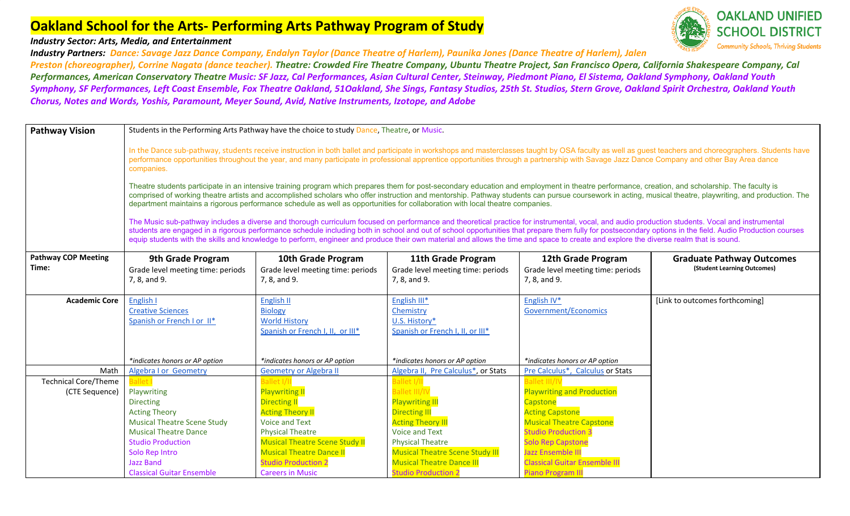#### *Industry Sector: Arts, Media, and Entertainment*

*Industry Partners: Dance: Savage Jazz Dance Company, Endalyn Taylor (Dance Theatre of Harlem), Paunika Jones (Dance Theatre of Harlem), Jalen*



*Preston (choreographer), Corrine Nagata (dance teacher). Theatre: Crowded Fire Theatre Company, Ubuntu Theatre Project, San Francisco Opera, California Shakespeare Company, Cal Performances, American Conservatory Theatre Music: SF Jazz, Cal Performances, Asian Cultural Center, Steinway, Piedmont Piano, El Sistema, Oakland Symphony, Oakland Youth Symphony, SF Performances, Left Coast Ensemble, Fox Theatre Oakland, 51Oakland, She Sings, Fantasy Studios, 25th St. Studios, Stern Grove, Oakland Spirit Orchestra, Oakland Youth Chorus, Notes and Words, Yoshis, Paramount, Meyer Sound, Avid, Native Instruments, Izotope, and Adobe*

| <b>Pathway Vision</b>       | Students in the Performing Arts Pathway have the choice to study Dance, Theatre, or Music.                                                                                                                                                                                                                                                                                                                                                                                                                                                                                                                                                                                                                                                                                                                                                                                                                                                                                                                                                                                                                                                                                                                                                                                                                                                                                                                                                                                                                                                                                  |                                                                          |                                                                   |                                                      |                                  |  |
|-----------------------------|-----------------------------------------------------------------------------------------------------------------------------------------------------------------------------------------------------------------------------------------------------------------------------------------------------------------------------------------------------------------------------------------------------------------------------------------------------------------------------------------------------------------------------------------------------------------------------------------------------------------------------------------------------------------------------------------------------------------------------------------------------------------------------------------------------------------------------------------------------------------------------------------------------------------------------------------------------------------------------------------------------------------------------------------------------------------------------------------------------------------------------------------------------------------------------------------------------------------------------------------------------------------------------------------------------------------------------------------------------------------------------------------------------------------------------------------------------------------------------------------------------------------------------------------------------------------------------|--------------------------------------------------------------------------|-------------------------------------------------------------------|------------------------------------------------------|----------------------------------|--|
|                             | In the Dance sub-pathway, students receive instruction in both ballet and participate in workshops and masterclasses taught by OSA faculty as well as guest teachers and choreographers. Students have<br>performance opportunities throughout the year, and many participate in professional apprentice opportunities through a partnership with Savage Jazz Dance Company and other Bay Area dance<br>companies.<br>Theatre students participate in an intensive training program which prepares them for post-secondary education and employment in theatre performance, creation, and scholarship. The faculty is<br>comprised of working theatre artists and accomplished scholars who offer instruction and mentorship. Pathway students can pursue coursework in acting, musical theatre, playwriting, and production. The<br>department maintains a rigorous performance schedule as well as opportunities for collaboration with local theatre companies.<br>The Music sub-pathway includes a diverse and thorough curriculum focused on performance and theoretical practice for instrumental, vocal, and audio production students. Vocal and instrumental<br>students are engaged in a rigorous performance schedule including both in school and out of school opportunities that prepare them fully for postsecondary options in the field. Audio Production courses<br>equip students with the skills and knowledge to perform, engineer and produce their own material and allows the time and space to create and explore the diverse realm that is sound. |                                                                          |                                                                   |                                                      |                                  |  |
| <b>Pathway COP Meeting</b>  | 9th Grade Program                                                                                                                                                                                                                                                                                                                                                                                                                                                                                                                                                                                                                                                                                                                                                                                                                                                                                                                                                                                                                                                                                                                                                                                                                                                                                                                                                                                                                                                                                                                                                           | 10th Grade Program                                                       | 11th Grade Program                                                | 12th Grade Program                                   | <b>Graduate Pathway Outcomes</b> |  |
| Time:                       | Grade level meeting time: periods                                                                                                                                                                                                                                                                                                                                                                                                                                                                                                                                                                                                                                                                                                                                                                                                                                                                                                                                                                                                                                                                                                                                                                                                                                                                                                                                                                                                                                                                                                                                           | Grade level meeting time: periods                                        | Grade level meeting time: periods                                 | Grade level meeting time: periods                    | (Student Learning Outcomes)      |  |
|                             | 7, 8, and 9.                                                                                                                                                                                                                                                                                                                                                                                                                                                                                                                                                                                                                                                                                                                                                                                                                                                                                                                                                                                                                                                                                                                                                                                                                                                                                                                                                                                                                                                                                                                                                                | 7, 8, and 9.                                                             | 7, 8, and 9.                                                      | 7, 8, and 9.                                         |                                  |  |
|                             |                                                                                                                                                                                                                                                                                                                                                                                                                                                                                                                                                                                                                                                                                                                                                                                                                                                                                                                                                                                                                                                                                                                                                                                                                                                                                                                                                                                                                                                                                                                                                                             |                                                                          |                                                                   |                                                      |                                  |  |
| <b>Academic Core</b>        | English I                                                                                                                                                                                                                                                                                                                                                                                                                                                                                                                                                                                                                                                                                                                                                                                                                                                                                                                                                                                                                                                                                                                                                                                                                                                                                                                                                                                                                                                                                                                                                                   | English II                                                               | English III*                                                      | English IV*                                          | [Link to outcomes forthcoming]   |  |
|                             | <b>Creative Sciences</b>                                                                                                                                                                                                                                                                                                                                                                                                                                                                                                                                                                                                                                                                                                                                                                                                                                                                                                                                                                                                                                                                                                                                                                                                                                                                                                                                                                                                                                                                                                                                                    | <b>Biology</b>                                                           | Chemistry                                                         | Government/Economics                                 |                                  |  |
|                             | Spanish or French I or II*                                                                                                                                                                                                                                                                                                                                                                                                                                                                                                                                                                                                                                                                                                                                                                                                                                                                                                                                                                                                                                                                                                                                                                                                                                                                                                                                                                                                                                                                                                                                                  | <b>World History</b><br>Spanish or French I, II, or III*                 | U.S. History*<br>Spanish or French I, II, or III*                 |                                                      |                                  |  |
|                             |                                                                                                                                                                                                                                                                                                                                                                                                                                                                                                                                                                                                                                                                                                                                                                                                                                                                                                                                                                                                                                                                                                                                                                                                                                                                                                                                                                                                                                                                                                                                                                             |                                                                          |                                                                   |                                                      |                                  |  |
|                             |                                                                                                                                                                                                                                                                                                                                                                                                                                                                                                                                                                                                                                                                                                                                                                                                                                                                                                                                                                                                                                                                                                                                                                                                                                                                                                                                                                                                                                                                                                                                                                             |                                                                          |                                                                   |                                                      |                                  |  |
|                             | *indicates honors or AP option                                                                                                                                                                                                                                                                                                                                                                                                                                                                                                                                                                                                                                                                                                                                                                                                                                                                                                                                                                                                                                                                                                                                                                                                                                                                                                                                                                                                                                                                                                                                              | *indicates honors or AP option                                           | *indicates honors or AP option                                    | *indicates honors or AP option                       |                                  |  |
| Math                        | <b>Algebra I or Geometry</b>                                                                                                                                                                                                                                                                                                                                                                                                                                                                                                                                                                                                                                                                                                                                                                                                                                                                                                                                                                                                                                                                                                                                                                                                                                                                                                                                                                                                                                                                                                                                                | <b>Geometry or Algebra II</b>                                            | Algebra II, Pre Calculus*, or Stats                               | Pre Calculus*, Calculus or Stats                     |                                  |  |
| <b>Technical Core/Theme</b> | Ballet <sup>®</sup>                                                                                                                                                                                                                                                                                                                                                                                                                                                                                                                                                                                                                                                                                                                                                                                                                                                                                                                                                                                                                                                                                                                                                                                                                                                                                                                                                                                                                                                                                                                                                         | <b>Ballet I/II</b>                                                       | Ballet I/II                                                       | <b>Ballet III/I'</b>                                 |                                  |  |
| (CTE Sequence)              | Playwriting                                                                                                                                                                                                                                                                                                                                                                                                                                                                                                                                                                                                                                                                                                                                                                                                                                                                                                                                                                                                                                                                                                                                                                                                                                                                                                                                                                                                                                                                                                                                                                 | <b>Playwriting II</b>                                                    | <b>Ballet III/IV</b>                                              | <b>Playwriting and Production</b>                    |                                  |  |
|                             | <b>Directing</b>                                                                                                                                                                                                                                                                                                                                                                                                                                                                                                                                                                                                                                                                                                                                                                                                                                                                                                                                                                                                                                                                                                                                                                                                                                                                                                                                                                                                                                                                                                                                                            | <b>Directing II</b>                                                      | <b>Playwriting III</b>                                            | Capstone                                             |                                  |  |
|                             | <b>Acting Theory</b>                                                                                                                                                                                                                                                                                                                                                                                                                                                                                                                                                                                                                                                                                                                                                                                                                                                                                                                                                                                                                                                                                                                                                                                                                                                                                                                                                                                                                                                                                                                                                        | <b>Acting Theory II</b>                                                  | <b>Directing III</b>                                              | <b>Acting Capstone</b>                               |                                  |  |
|                             | <b>Musical Theatre Scene Study</b>                                                                                                                                                                                                                                                                                                                                                                                                                                                                                                                                                                                                                                                                                                                                                                                                                                                                                                                                                                                                                                                                                                                                                                                                                                                                                                                                                                                                                                                                                                                                          | Voice and Text                                                           | <b>Acting Theory III</b>                                          | <b>Musical Theatre Capstone</b>                      |                                  |  |
|                             | <b>Musical Theatre Dance</b>                                                                                                                                                                                                                                                                                                                                                                                                                                                                                                                                                                                                                                                                                                                                                                                                                                                                                                                                                                                                                                                                                                                                                                                                                                                                                                                                                                                                                                                                                                                                                | <b>Physical Theatre</b>                                                  | <b>Voice and Text</b>                                             | <b>Studio Production 3</b>                           |                                  |  |
|                             | <b>Studio Production</b>                                                                                                                                                                                                                                                                                                                                                                                                                                                                                                                                                                                                                                                                                                                                                                                                                                                                                                                                                                                                                                                                                                                                                                                                                                                                                                                                                                                                                                                                                                                                                    | <b>Musical Theatre Scene Study II</b><br><b>Musical Theatre Dance II</b> | <b>Physical Theatre</b><br><b>Musical Theatre Scene Study III</b> | <b>Solo Rep Capstone</b><br><b>Jazz Ensemble III</b> |                                  |  |
|                             | Solo Rep Intro<br><b>Jazz Band</b>                                                                                                                                                                                                                                                                                                                                                                                                                                                                                                                                                                                                                                                                                                                                                                                                                                                                                                                                                                                                                                                                                                                                                                                                                                                                                                                                                                                                                                                                                                                                          | <b>Studio Production 2</b>                                               | <b>Musical Theatre Dance III</b>                                  | <b>Classical Guitar Ensemble III</b>                 |                                  |  |
|                             | <b>Classical Guitar Ensemble</b>                                                                                                                                                                                                                                                                                                                                                                                                                                                                                                                                                                                                                                                                                                                                                                                                                                                                                                                                                                                                                                                                                                                                                                                                                                                                                                                                                                                                                                                                                                                                            | <b>Careers in Music</b>                                                  | <b>Studio Production 2</b>                                        | <b>Piano Program III</b>                             |                                  |  |
|                             |                                                                                                                                                                                                                                                                                                                                                                                                                                                                                                                                                                                                                                                                                                                                                                                                                                                                                                                                                                                                                                                                                                                                                                                                                                                                                                                                                                                                                                                                                                                                                                             |                                                                          |                                                                   |                                                      |                                  |  |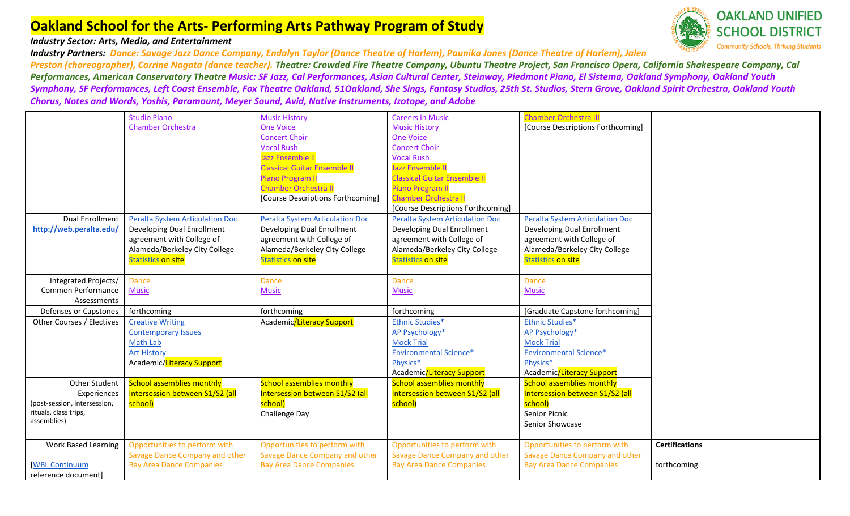### *Industry Sector: Arts, Media, and Entertainment*

*Industry Partners: Dance: Savage Jazz Dance Company, Endalyn Taylor (Dance Theatre of Harlem), Paunika Jones (Dance Theatre of Harlem), Jalen Preston (choreographer), Corrine Nagata (dance teacher). Theatre: Crowded Fire Theatre Company, Ubuntu Theatre Project, San Francisco Opera, California Shakespeare Company, Cal Performances, American Conservatory Theatre Music: SF Jazz, Cal Performances, Asian Cultural Center, Steinway, Piedmont Piano, El Sistema, Oakland Symphony, Oakland Youth Symphony, SF Performances, Left Coast Ensemble, Fox Theatre Oakland, 51Oakland, She Sings, Fantasy Studios, 25th St. Studios, Stern Grove, Oakland Spirit Orchestra, Oakland Youth Chorus, Notes and Words, Yoshis, Paramount, Meyer Sound, Avid, Native Instruments, Izotope, and Adobe*

|                                      | <b>Studio Piano</b>                    | <b>Music History</b>                   | <b>Careers in Music</b>                | <b>Chamber Orchestra III</b>           |                       |
|--------------------------------------|----------------------------------------|----------------------------------------|----------------------------------------|----------------------------------------|-----------------------|
|                                      | <b>Chamber Orchestra</b>               | <b>One Voice</b>                       | <b>Music History</b>                   | [Course Descriptions Forthcoming]      |                       |
|                                      |                                        | <b>Concert Choir</b>                   | <b>One Voice</b>                       |                                        |                       |
|                                      |                                        | <b>Vocal Rush</b>                      | <b>Concert Choir</b>                   |                                        |                       |
|                                      |                                        | Jazz Ensemble II                       | <b>Vocal Rush</b>                      |                                        |                       |
|                                      |                                        | <b>Classical Guitar Ensemble II</b>    | Jazz Ensemble II                       |                                        |                       |
|                                      |                                        | <b>Piano Program II</b>                | <b>Classical Guitar Ensemble II</b>    |                                        |                       |
|                                      |                                        | <b>Chamber Orchestra II</b>            | <b>Piano Program II</b>                |                                        |                       |
|                                      |                                        | [Course Descriptions Forthcoming]      | <b>Chamber Orchestra II</b>            |                                        |                       |
|                                      |                                        |                                        | [Course Descriptions Forthcoming]      |                                        |                       |
| <b>Dual Enrollment</b>               | <b>Peralta System Articulation Doc</b> | <b>Peralta System Articulation Doc</b> | <b>Peralta System Articulation Doc</b> | <b>Peralta System Articulation Doc</b> |                       |
| http://web.peralta.edu/              | Developing Dual Enrollment             | Developing Dual Enrollment             | Developing Dual Enrollment             | Developing Dual Enrollment             |                       |
|                                      | agreement with College of              | agreement with College of              | agreement with College of              | agreement with College of              |                       |
|                                      | Alameda/Berkeley City College          | Alameda/Berkeley City College          | Alameda/Berkeley City College          | Alameda/Berkeley City College          |                       |
|                                      | <b>Statistics on site</b>              | <b>Statistics on site</b>              | <b>Statistics on site</b>              | <b>Statistics on site</b>              |                       |
|                                      |                                        |                                        |                                        |                                        |                       |
| Integrated Projects/                 | Dance                                  | Dance                                  | Dance                                  | Dance                                  |                       |
| Common Performance                   | <b>Music</b>                           | <b>Music</b>                           | <b>Music</b>                           | <b>Music</b>                           |                       |
| Assessments                          |                                        |                                        |                                        |                                        |                       |
| Defenses or Capstones                | forthcoming                            | forthcoming                            | forthcoming                            | [Graduate Capstone forthcoming]        |                       |
| Other Courses / Electives            | <b>Creative Writing</b>                | Academic/Literacy Support              | <b>Ethnic Studies*</b>                 | <b>Ethnic Studies*</b>                 |                       |
|                                      | <b>Contemporary Issues</b>             |                                        | <b>AP Psychology*</b>                  | <b>AP Psychology*</b>                  |                       |
|                                      | <b>Math Lab</b>                        |                                        | <b>Mock Trial</b>                      | <b>Mock Trial</b>                      |                       |
|                                      | <b>Art History</b>                     |                                        | <b>Environmental Science*</b>          | <b>Environmental Science*</b>          |                       |
|                                      | Academic/Literacy Support              |                                        | Physics*                               | Physics*                               |                       |
|                                      |                                        |                                        | Academic/Literacy Support              | Academic/Literacy Support              |                       |
| Other Student                        | <b>School assemblies monthly</b>       | <b>School assemblies monthly</b>       | <b>School assemblies monthly</b>       | <b>School assemblies monthly</b>       |                       |
| Experiences                          | Intersession between S1/S2 (all        | Intersession between S1/S2 (all        | Intersession between S1/S2 (all        | Intersession between S1/S2 (all        |                       |
| (post-session, intersession,         | school)                                | school)                                | school)                                | school)                                |                       |
| rituals, class trips,<br>assemblies) |                                        | Challenge Day                          |                                        | Senior Picnic                          |                       |
|                                      |                                        |                                        |                                        | Senior Showcase                        |                       |
| <b>Work Based Learning</b>           | Opportunities to perform with          | Opportunities to perform with          | Opportunities to perform with          | Opportunities to perform with          | <b>Certifications</b> |
|                                      | Savage Dance Company and other         | Savage Dance Company and other         | Savage Dance Company and other         | Savage Dance Company and other         |                       |
| <b>WBL Continuum</b>                 | <b>Bay Area Dance Companies</b>        | <b>Bay Area Dance Companies</b>        | <b>Bay Area Dance Companies</b>        | <b>Bay Area Dance Companies</b>        | forthcoming           |
| reference document]                  |                                        |                                        |                                        |                                        |                       |

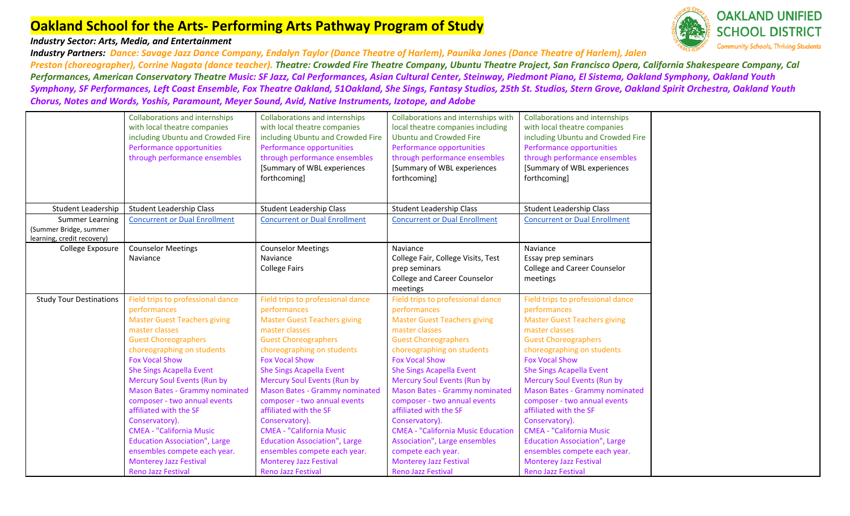### *Industry Sector: Arts, Media, and Entertainment*

*Industry Partners: Dance: Savage Jazz Dance Company, Endalyn Taylor (Dance Theatre of Harlem), Paunika Jones (Dance Theatre of Harlem), Jalen Preston (choreographer), Corrine Nagata (dance teacher). Theatre: Crowded Fire Theatre Company, Ubuntu Theatre Project, San Francisco Opera, California Shakespeare Company, Cal Performances, American Conservatory Theatre Music: SF Jazz, Cal Performances, Asian Cultural Center, Steinway, Piedmont Piano, El Sistema, Oakland Symphony, Oakland Youth Symphony, SF Performances, Left Coast Ensemble, Fox Theatre Oakland, 51Oakland, She Sings, Fantasy Studios, 25th St. Studios, Stern Grove, Oakland Spirit Orchestra, Oakland Youth Chorus, Notes and Words, Yoshis, Paramount, Meyer Sound, Avid, Native Instruments, Izotope, and Adobe*

|                                | <b>Collaborations and internships</b> | <b>Collaborations and internships</b> | Collaborations and internships with       | <b>Collaborations and internships</b> |
|--------------------------------|---------------------------------------|---------------------------------------|-------------------------------------------|---------------------------------------|
|                                | with local theatre companies          | with local theatre companies          | local theatre companies including         | with local theatre companies          |
|                                | including Ubuntu and Crowded Fire     | including Ubuntu and Crowded Fire     | <b>Ubuntu and Crowded Fire</b>            | including Ubuntu and Crowded Fire     |
|                                | Performance opportunities             | Performance opportunities             | Performance opportunities                 | Performance opportunities             |
|                                | through performance ensembles         | through performance ensembles         | through performance ensembles             | through performance ensembles         |
|                                |                                       | [Summary of WBL experiences           | [Summary of WBL experiences               | [Summary of WBL experiences           |
|                                |                                       | forthcoming]                          | forthcoming]                              | forthcoming]                          |
|                                |                                       |                                       |                                           |                                       |
|                                |                                       |                                       |                                           |                                       |
| Student Leadership             | <b>Student Leadership Class</b>       | <b>Student Leadership Class</b>       | <b>Student Leadership Class</b>           | <b>Student Leadership Class</b>       |
| <b>Summer Learning</b>         | <b>Concurrent or Dual Enrollment</b>  | <b>Concurrent or Dual Enrollment</b>  | <b>Concurrent or Dual Enrollment</b>      | <b>Concurrent or Dual Enrollment</b>  |
| (Summer Bridge, summer         |                                       |                                       |                                           |                                       |
| learning, credit recovery)     |                                       |                                       |                                           |                                       |
| College Exposure               | <b>Counselor Meetings</b>             | <b>Counselor Meetings</b>             | Naviance                                  | Naviance                              |
|                                | Naviance                              | Naviance                              | College Fair, College Visits, Test        | Essay prep seminars                   |
|                                |                                       | <b>College Fairs</b>                  | prep seminars                             | <b>College and Career Counselor</b>   |
|                                |                                       |                                       | College and Career Counselor              | meetings                              |
|                                |                                       |                                       | meetings                                  |                                       |
| <b>Study Tour Destinations</b> | Field trips to professional dance     | Field trips to professional dance     | Field trips to professional dance         | Field trips to professional dance     |
|                                | performances                          | performances                          | performances                              | performances                          |
|                                | <b>Master Guest Teachers giving</b>   | <b>Master Guest Teachers giving</b>   | <b>Master Guest Teachers giving</b>       | <b>Master Guest Teachers giving</b>   |
|                                | master classes                        | master classes                        | master classes                            | master classes                        |
|                                | <b>Guest Choreographers</b>           | <b>Guest Choreographers</b>           | <b>Guest Choreographers</b>               | <b>Guest Choreographers</b>           |
|                                | choreographing on students            | choreographing on students            | choreographing on students                | choreographing on students            |
|                                | <b>Fox Vocal Show</b>                 | <b>Fox Vocal Show</b>                 | <b>Fox Vocal Show</b>                     | <b>Fox Vocal Show</b>                 |
|                                | <b>She Sings Acapella Event</b>       | <b>She Sings Acapella Event</b>       | <b>She Sings Acapella Event</b>           | She Sings Acapella Event              |
|                                | <b>Mercury Soul Events (Run by</b>    | Mercury Soul Events (Run by           | Mercury Soul Events (Run by               | Mercury Soul Events (Run by           |
|                                | <b>Mason Bates - Grammy nominated</b> | <b>Mason Bates - Grammy nominated</b> | <b>Mason Bates - Grammy nominated</b>     | <b>Mason Bates - Grammy nominated</b> |
|                                | composer - two annual events          | composer - two annual events          | composer - two annual events              | composer - two annual events          |
|                                | affiliated with the SF                | affiliated with the SF                | affiliated with the SF                    | affiliated with the SF                |
|                                | Conservatory).                        | Conservatory).                        | Conservatory).                            | Conservatory).                        |
|                                | <b>CMEA - "California Music</b>       | <b>CMEA - "California Music</b>       | <b>CMEA - "California Music Education</b> | <b>CMEA - "California Music</b>       |
|                                | <b>Education Association", Large</b>  | <b>Education Association", Large</b>  | Association", Large ensembles             | <b>Education Association", Large</b>  |
|                                | ensembles compete each year.          | ensembles compete each year.          | compete each year.                        | ensembles compete each year.          |
|                                | <b>Monterey Jazz Festival</b>         | <b>Monterey Jazz Festival</b>         | <b>Monterey Jazz Festival</b>             | <b>Monterey Jazz Festival</b>         |
|                                | <b>Reno Jazz Festival</b>             | Reno Jazz Festival                    | Reno Jazz Festival                        | <b>Reno Jazz Festival</b>             |